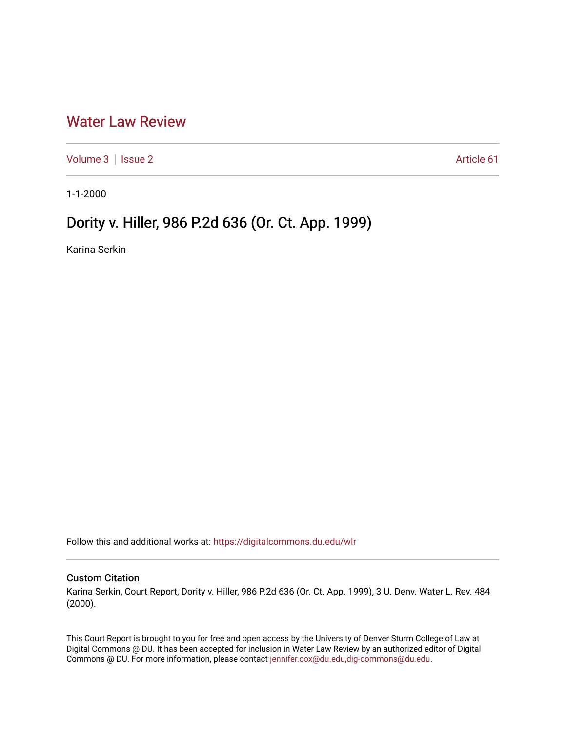## [Water Law Review](https://digitalcommons.du.edu/wlr)

[Volume 3](https://digitalcommons.du.edu/wlr/vol3) | [Issue 2](https://digitalcommons.du.edu/wlr/vol3/iss2) Article 61

1-1-2000

## Dority v. Hiller, 986 P.2d 636 (Or. Ct. App. 1999)

Karina Serkin

Follow this and additional works at: [https://digitalcommons.du.edu/wlr](https://digitalcommons.du.edu/wlr?utm_source=digitalcommons.du.edu%2Fwlr%2Fvol3%2Fiss2%2F61&utm_medium=PDF&utm_campaign=PDFCoverPages) 

## Custom Citation

Karina Serkin, Court Report, Dority v. Hiller, 986 P.2d 636 (Or. Ct. App. 1999), 3 U. Denv. Water L. Rev. 484 (2000).

This Court Report is brought to you for free and open access by the University of Denver Sturm College of Law at Digital Commons @ DU. It has been accepted for inclusion in Water Law Review by an authorized editor of Digital Commons @ DU. For more information, please contact [jennifer.cox@du.edu,dig-commons@du.edu.](mailto:jennifer.cox@du.edu,dig-commons@du.edu)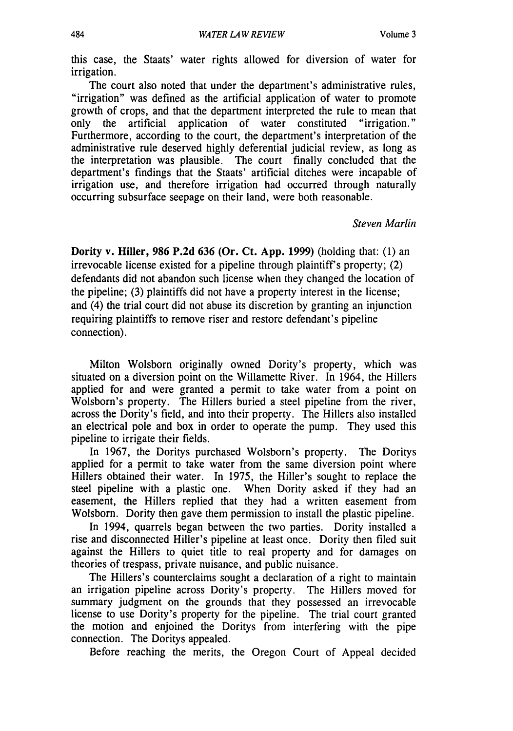this case, the Staats' water rights allowed for diversion of water for irrigation.

The court also noted that under the department's administrative rules, "irrigation" was defined as the artificial application of water to promote growth of crops, and that the department interpreted the rule to mean that only the artificial application of water constituted "irrigation." Furthermore, according to the court, the department's interpretation of the administrative rule deserved highly deferential judicial review, as long as the interpretation was plausible. The court finally concluded that the department's findings that the Staats' artificial ditches were incapable of irrigation use, and therefore irrigation had occurred through naturally occurring subsurface seepage on their land, were both reasonable.

## *Steven Marlin*

Dority v. Hiller, **986 P.2d 636** (Or. Ct. **App. 1999)** (holding that: (1) an irrevocable license existed for a pipeline through plaintiff's property;  $(2)$ defendants did not abandon such license when they changed the location of the pipeline; (3) plaintiffs did not have a property interest in the license; and (4) the trial court did not abuse its discretion by granting an injunction requiring plaintiffs to remove riser and restore defendant's pipeline connection).

Milton Wolsborn originally owned Dority's property, which was situated on a diversion point on the Willamette River. In 1964, the Hillers applied for and were granted a permit to take water from a point on Wolsborn's property. The Hillers buried a steel pipeline from the river, across the Dority's field, and into their property. The Hillers also installed an electrical pole and box in order to operate the pump. They used this pipeline to irrigate their fields.

In 1967, the Doritys purchased Wolsborn's property. The Doritys applied for a permit to take water from the same diversion point where Hillers obtained their water. In 1975, the Hiller's sought to replace the steel pipeline with a plastic one. When Dority asked if they had an easement, the Hillers replied that they had a written easement from Wolsborn. Dority then gave them permission to install the plastic pipeline.

In 1994, quarrels began between the two parties. Dority installed a rise and disconnected Hiller's pipeline at least once. Dority then filed suit against the Hillers to quiet title to real property and for damages on theories of trespass, private nuisance, and public nuisance.

The Hillers's counterclaims sought a declaration of a right to maintain an irrigation pipeline across Dority's property. The Hillers moved for summary judgment on the grounds that they possessed an irrevocable license to use Dority's property for the pipeline. The trial court granted the motion and enjoined the Doritys from interfering with the pipe connection. The Doritys appealed.

Before reaching the merits, the Oregon Court of Appeal decided